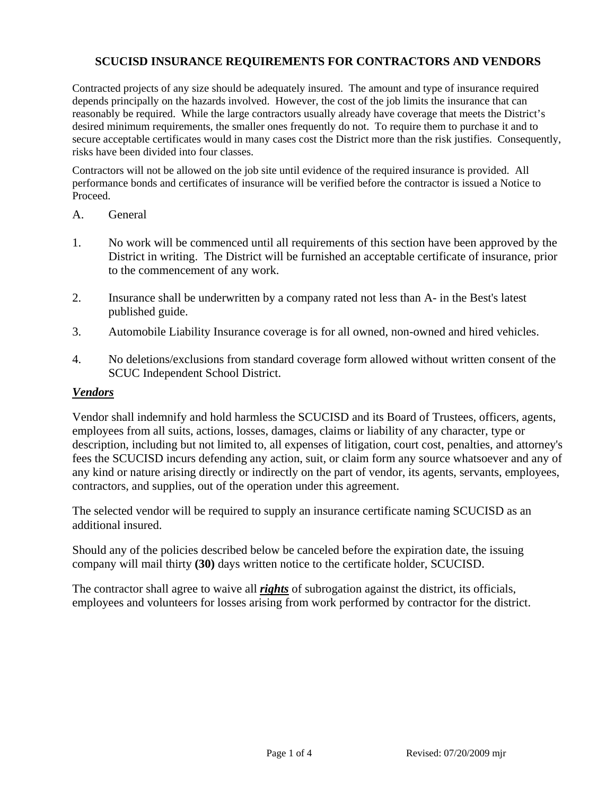# **SCUCISD INSURANCE REQUIREMENTS FOR CONTRACTORS AND VENDORS**

Contracted projects of any size should be adequately insured. The amount and type of insurance required depends principally on the hazards involved. However, the cost of the job limits the insurance that can reasonably be required. While the large contractors usually already have coverage that meets the District's desired minimum requirements, the smaller ones frequently do not. To require them to purchase it and to secure acceptable certificates would in many cases cost the District more than the risk justifies. Consequently, risks have been divided into four classes.

Contractors will not be allowed on the job site until evidence of the required insurance is provided. All performance bonds and certificates of insurance will be verified before the contractor is issued a Notice to Proceed.

- A. General
- 1. No work will be commenced until all requirements of this section have been approved by the District in writing. The District will be furnished an acceptable certificate of insurance, prior to the commencement of any work.
- 2. Insurance shall be underwritten by a company rated not less than A- in the Best's latest published guide.
- 3. Automobile Liability Insurance coverage is for all owned, non-owned and hired vehicles.
- 4. No deletions/exclusions from standard coverage form allowed without written consent of the SCUC Independent School District.

### *Vendors*

Vendor shall indemnify and hold harmless the SCUCISD and its Board of Trustees, officers, agents, employees from all suits, actions, losses, damages, claims or liability of any character, type or description, including but not limited to, all expenses of litigation, court cost, penalties, and attorney's fees the SCUCISD incurs defending any action, suit, or claim form any source whatsoever and any of any kind or nature arising directly or indirectly on the part of vendor, its agents, servants, employees, contractors, and supplies, out of the operation under this agreement.

The selected vendor will be required to supply an insurance certificate naming SCUCISD as an additional insured.

Should any of the policies described below be canceled before the expiration date, the issuing company will mail thirty **(30)** days written notice to the certificate holder, SCUCISD.

The contractor shall agree to waive all *rights* of subrogation against the district, its officials, employees and volunteers for losses arising from work performed by contractor for the district.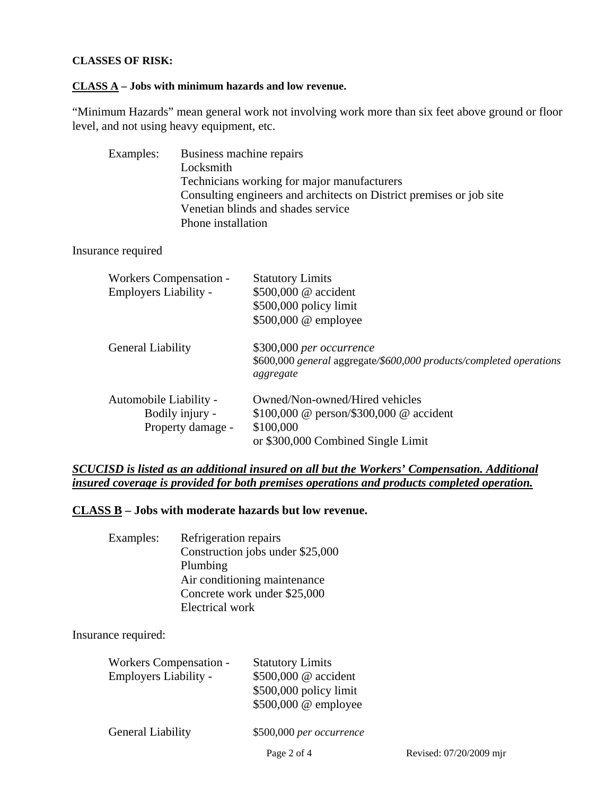# **CLASSES OF RISK:**

#### **CLASS A – Jobs with minimum hazards and low revenue.**

"Minimum Hazards" mean general work not involving work more than six feet above ground or floor level, and not using heavy equipment, etc.

| Examples:                                                     | Business machine repairs<br>Technicians working for major manufacturers<br>Consulting engineers and architects on District premises or job site<br>Venetian blinds and shades service<br>Phone installation |                                                                                                                              |
|---------------------------------------------------------------|-------------------------------------------------------------------------------------------------------------------------------------------------------------------------------------------------------------|------------------------------------------------------------------------------------------------------------------------------|
| Insurance required                                            |                                                                                                                                                                                                             |                                                                                                                              |
| <b>Workers Compensation -</b><br><b>Employers Liability -</b> |                                                                                                                                                                                                             | <b>Statutory Limits</b><br>\$500,000 @ accident<br>\$500,000 policy limit<br>\$500,000 @ employee                            |
| <b>General Liability</b>                                      |                                                                                                                                                                                                             | \$300,000 per occurrence<br>\$600,000 general aggregate/\$600,000 products/completed operations<br>aggregate                 |
| Automobile Liability -                                        | Bodily injury -<br>Property damage -                                                                                                                                                                        | Owned/Non-owned/Hired vehicles<br>\$100,000 @ person/\$300,000 @ accident<br>\$100,000<br>or \$300,000 Combined Single Limit |

*SCUCISD is listed as an additional insured on all but the Workers' Compensation. Additional insured coverage is provided for both premises operations and products completed operation.*

## **CLASS B – Jobs with moderate hazards but low revenue.**

| Examples: | Refrigeration repairs            |
|-----------|----------------------------------|
|           | Construction jobs under \$25,000 |
|           | Plumbing                         |
|           | Air conditioning maintenance     |
|           | Concrete work under \$25,000     |
|           | Electrical work                  |

Insurance required:

| <b>Workers Compensation -</b><br><b>Employers Liability -</b> | <b>Statutory Limits</b><br>\$500,000 @ accident<br>\$500,000 policy limit<br>\$500,000 @ employee |
|---------------------------------------------------------------|---------------------------------------------------------------------------------------------------|
| <b>General Liability</b>                                      | \$500,000 per occurrence                                                                          |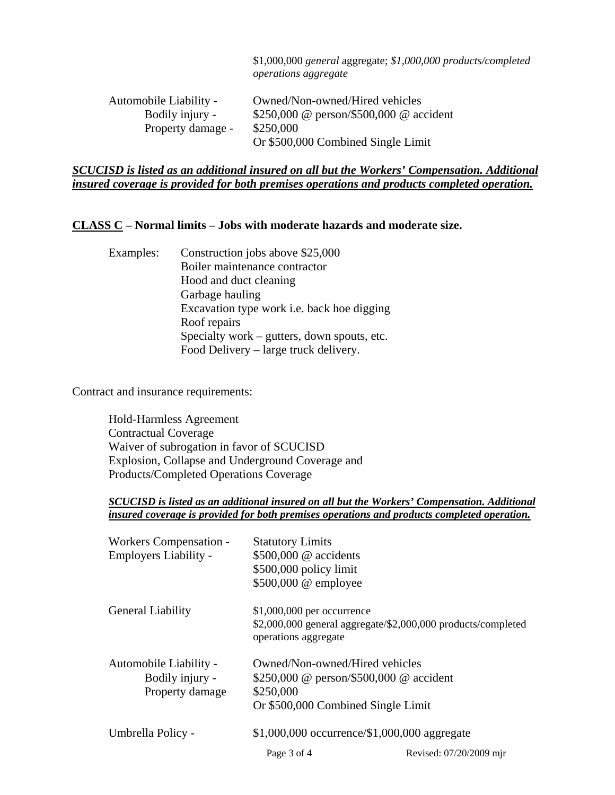|                        | $$1,000,000$ general aggregate; $$1,000,000$ products/completed<br><i>operations aggregate</i> |
|------------------------|------------------------------------------------------------------------------------------------|
| Automobile Liability - | Owned/Non-owned/Hired vehicles                                                                 |
| Bodily injury -        | \$250,000 @ person/\$500,000 @ accident                                                        |
| Property damage -      | \$250,000                                                                                      |
|                        | Or \$500,000 Combined Single Limit                                                             |

# *SCUCISD is listed as an additional insured on all but the Workers' Compensation. Additional insured coverage is provided for both premises operations and products completed operation.*

# **CLASS C – Normal limits – Jobs with moderate hazards and moderate size.**

| Examples: | Construction jobs above \$25,000                  |
|-----------|---------------------------------------------------|
|           | Boiler maintenance contractor                     |
|           | Hood and duct cleaning                            |
|           | Garbage hauling                                   |
|           | Excavation type work <i>i.e.</i> back hoe digging |
|           | Roof repairs                                      |
|           | Specialty work – gutters, down spouts, etc.       |
|           | Food Delivery – large truck delivery.             |

Contract and insurance requirements:

 Hold-Harmless Agreement Contractual Coverage Waiver of subrogation in favor of SCUCISD Explosion, Collapse and Underground Coverage and Products/Completed Operations Coverage

### *SCUCISD is listed as an additional insured on all but the Workers' Compensation. Additional insured coverage is provided for both premises operations and products completed operation.*

| Workers Compensation -   | <b>Statutory Limits</b>                         |                                                              |
|--------------------------|-------------------------------------------------|--------------------------------------------------------------|
| Employers Liability -    | \$500,000 @ accidents                           |                                                              |
|                          | \$500,000 policy limit                          |                                                              |
|                          | \$500,000 @ employee                            |                                                              |
| <b>General Liability</b> | $$1,000,000$ per occurrence                     |                                                              |
|                          | operations aggregate                            | \$2,000,000 general aggregate/\$2,000,000 products/completed |
| Automobile Liability -   | Owned/Non-owned/Hired vehicles                  |                                                              |
| Bodily injury -          | \$250,000 @ person/\$500,000 @ accident         |                                                              |
| Property damage          | \$250,000                                       |                                                              |
|                          | Or \$500,000 Combined Single Limit              |                                                              |
| Umbrella Policy -        | $$1,000,000$ occurrence/ $$1,000,000$ aggregate |                                                              |
|                          | Page 3 of 4                                     | Revised: 07/20/2009 mir                                      |